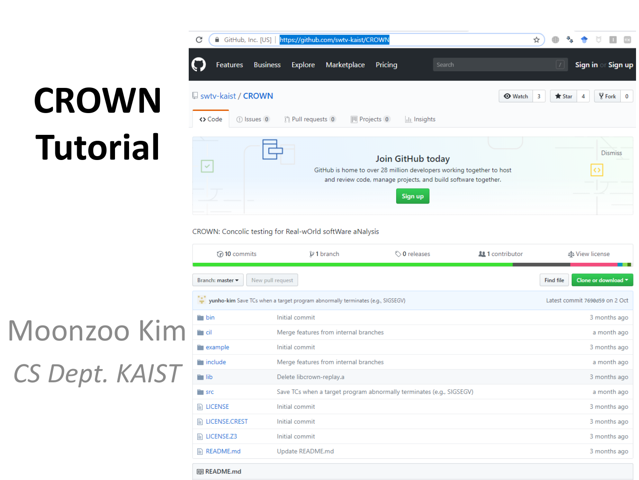# **CROWN Tutorial**



#### CROWN: Concolic testing for Real-wOrld softWare aNalysis

| $\odot$ 10 commits                                                                                               | $\mathcal V$ 1 branch                                                | $\circledcirc$ 0 releases | <b>11</b> Contributor | sts View license |
|------------------------------------------------------------------------------------------------------------------|----------------------------------------------------------------------|---------------------------|-----------------------|------------------|
| New pull request<br>Branch: master $\blacktriangleright$                                                         | Clone or download ▼<br><b>Find file</b>                              |                           |                       |                  |
| yunho-kim Save TCs when a target program abnormally terminates (e.g., SIGSEGV)<br>Latest commit 7690d59 on 2 Oct |                                                                      |                           |                       |                  |
| $\blacksquare$ bin                                                                                               | Initial commit                                                       |                           |                       | 3 months ago     |
| ™ cil                                                                                                            | Merge features from internal branches                                |                           |                       | a month ago      |
| example                                                                                                          | Initial commit                                                       |                           |                       | 3 months ago     |
| include                                                                                                          | Merge features from internal branches                                |                           |                       | a month ago      |
| $\blacksquare$ lib                                                                                               | Delete libcrown-replay.a                                             |                           |                       | 3 months ago     |
| $\Box$ src                                                                                                       | Save TCs when a target program abnormally terminates (e.g., SIGSEGV) |                           |                       | a month ago      |
| <b>A</b> LICENSE                                                                                                 | Initial commit                                                       |                           |                       | 3 months ago     |
| <b>ALICENSE.CREST</b>                                                                                            | Initial commit                                                       |                           |                       | 3 months ago     |
| <b>ALICENSE.Z3</b>                                                                                               | Initial commit                                                       |                           |                       | 3 months ago     |
| $\mathbb{R}$ README.md                                                                                           | Update README.md                                                     |                           |                       | 3 months ago     |

#### Moonzoo Kim *CS Dept. KAIST*

图 README.md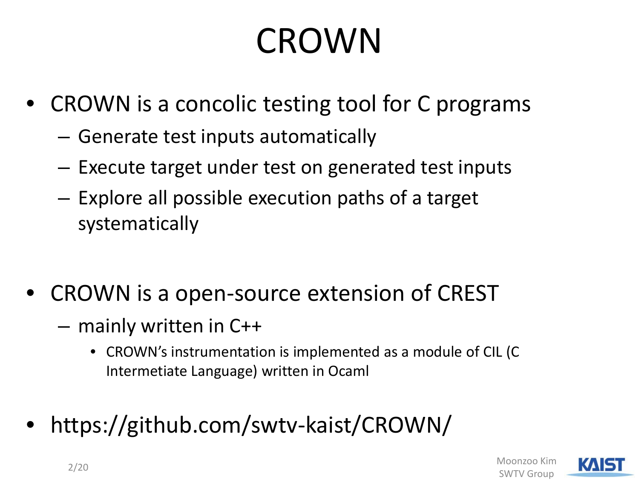### CROWN

- CROWN is a concolic testing tool for C programs
	- Generate test inputs automatically
	- Execute target under test on generated test inputs
	- Explore all possible execution paths of a target systematically
- CROWN is a open-source extension of CREST
	- mainly written in C++
		- CROWN's instrumentation is implemented as a module of CIL (C Intermetiate Language) written in Ocaml
- https://github.com/swtv-kaist/CROWN/

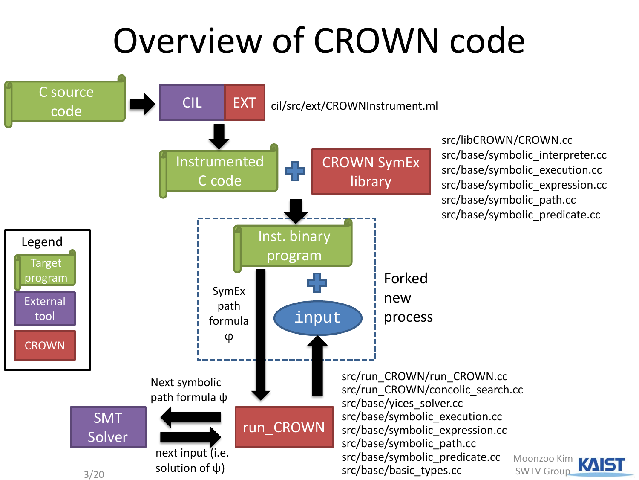#### Overview of CROWN code



src/libCROWN/CROWN.cc src/base/symbolic\_interpreter.cc src/base/symbolic\_execution.cc src/base/symbolic\_expression.cc src/base/symbolic\_path.cc src/base/symbolic\_predicate.cc

> Moonzoo Kim SWTV Group

**KAIST**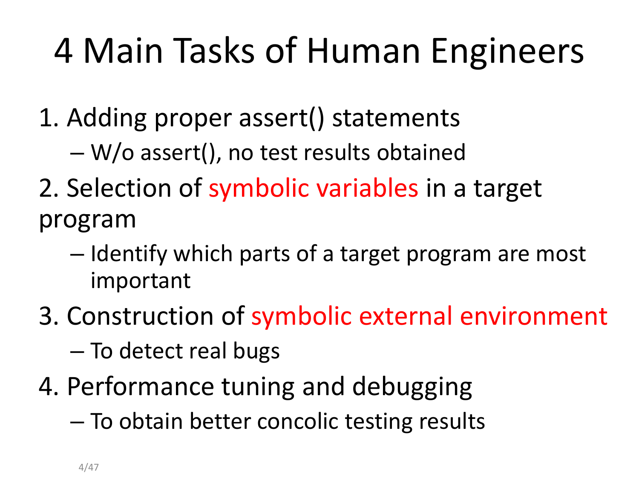### 4 Main Tasks of Human Engineers

- 1. Adding proper assert() statements
	- W/o assert(), no test results obtained
- 2. Selection of symbolic variables in a target program
	- Identify which parts of a target program are most important
- 3. Construction of symbolic external environment – To detect real bugs
- 4. Performance tuning and debugging
	- To obtain better concolic testing results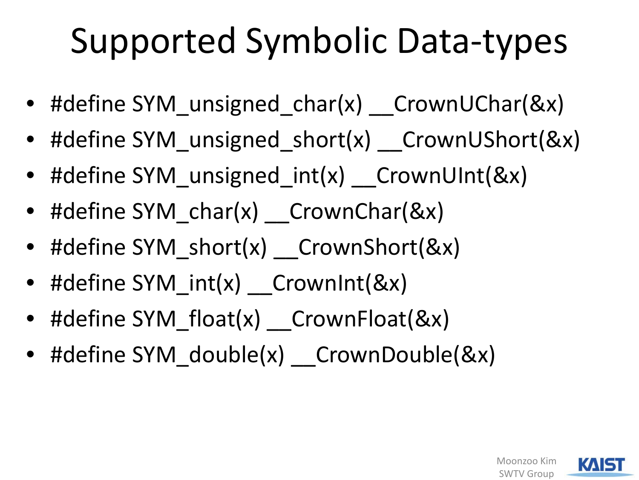### Supported Symbolic Data-types

- #define SYM unsigned char(x) CrownUChar(&x)
- #define SYM\_unsigned\_short(x) CrownUShort(&x)
- #define SYM\_unsigned\_int(x) \_\_CrownUInt(&x)
- #define SYM char(x) CrownChar(&x)
- #define SYM\_short(x) CrownShort(&x)
- #define SYM int(x) \_\_CrownInt(&x)
- #define SYM\_float(x) \_\_ CrownFloat(&x)
- #define SYM\_double(x) CrownDouble(&x)

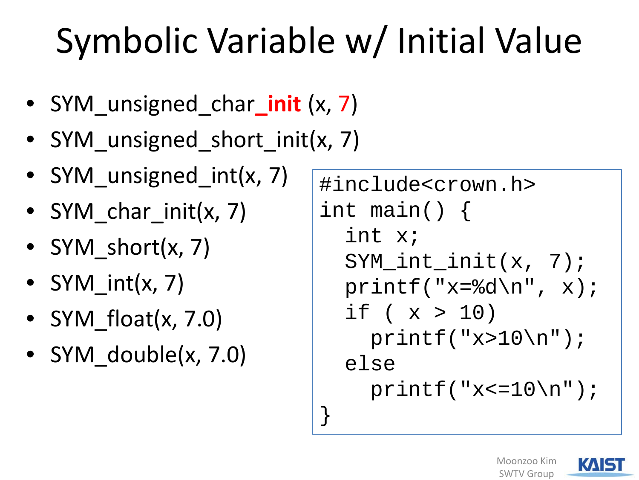## Symbolic Variable w/ Initial Value

}

- SYM unsigned\_char\_init (x, 7)
- SYM\_unsigned\_short\_init(x, 7)
- SYM unsigned int(x, 7)
- SYM char init(x, 7)
- SYM short $(x, 7)$
- SYM int $(x, 7)$
- SYM float $(x, 7.0)$
- SYM double(x, 7.0)

```
#include<crown.h>
int main() {
  int x;
  SYM_int_init(x, 7);
  printf("x=%d\n", x);
  if ( x > 10 )
    printf('x>10\nu');else 
    print(f('x<=10)n");
```


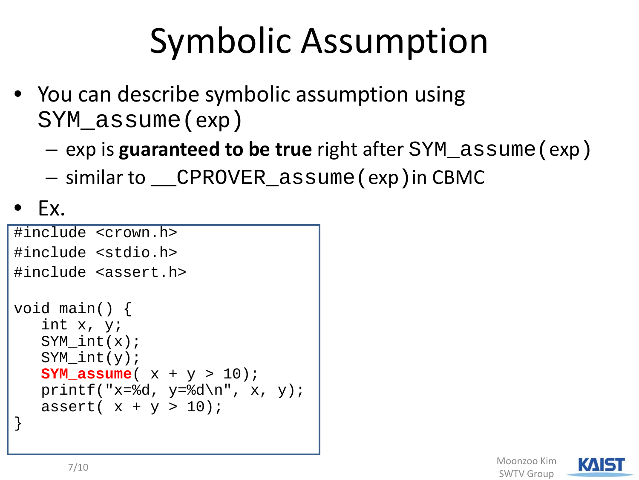### Symbolic Assumption

- You can describe symbolic assumption using SYM\_assume(exp)
	- exp is **guaranteed to be true** right after SYM\_assume(exp)
	- similar to \_\_CPROVER\_assume(exp)in CBMC

• Ex.

```
#include <crown.h>
#include <stdio.h>
#include <assert.h>
void main() {
   int x, y;
   SYM int(x);
   SYM int(y);
   SYM_assume( x + y > 10);
   printf("x=%d, y=%d\n", x, y);
   assert(x + y > 10);
}
```
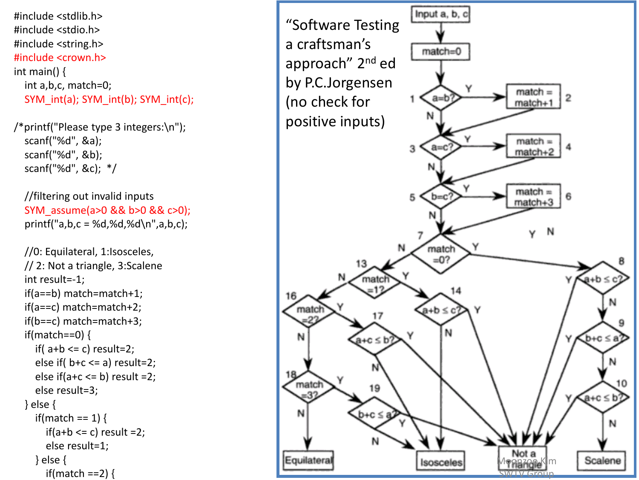#include <stdlib.h > #include <stdio.h > #include <string.h > #include <crown.h > int main()  $\{$ int a,b,c, match=0; SYM\_int(a); SYM\_int(b); SYM\_int(c);

/\*printf("Please type 3 integers: \n"); scanf("%d", &a); scanf("%d", &b); scanf("%d", &c); \*/

//filtering out invalid inputs SYM\_assume(a>0 && b>0 && c>0); printf("a,b,c = %d,%d,%d \n",a,b,c);

//0: Equilateral, 1:Isosceles, // 2: Not a triangle, 3:Scalene int result= -1; if(a==b) match=match+1; if(a==c) match=match+2; if(b==c) match=match+3;  $if(match==0)$  { if( $a+b \leq c$ ) result=2; else if( $b+c \le a$ ) result=2; else if( $a+c \le b$ ) result =2; else result=3; } else { if(match ==  $1$ ) {  $if(a+b \leq c)$  result =2; else result=1; } else { if(match  $==2$ ) {

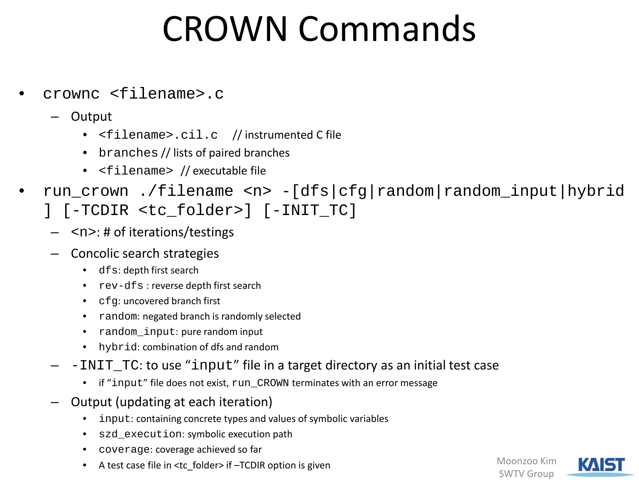#### CROWN Commands

- crownc <filename>.c
	- Output
		- <filename>.cil.c // instrumented C file
		- branches // lists of paired branches
		- <filename> // executable file
- run\_crown ./filename <n> -[dfs|cfg|random|random\_input|hybrid
	- ] [-TCDIR <tc\_folder>] [-INIT\_TC]
		- $\langle n \rangle$ : # of iterations/testings
	- Concolic search strategies
		- dfs: depth first search
		- rev-dfs : reverse depth first search
		- cfg: uncovered branch first
		- random: negated branch is randomly selected
		- random\_input: pure random input
		- hybrid: combination of dfs and random
	- $-INT$  TC: to use "input" file in a target directory as an initial test case
		- if "input" file does not exist, run\_CROWN terminates with an error message
	- Output (updating at each iteration)
		- input: containing concrete types and values of symbolic variables
		- szd\_execution: symbolic execution path
		- coverage: coverage achieved so far
		- A test case file in <tc\_folder> if -TCDIR option is given

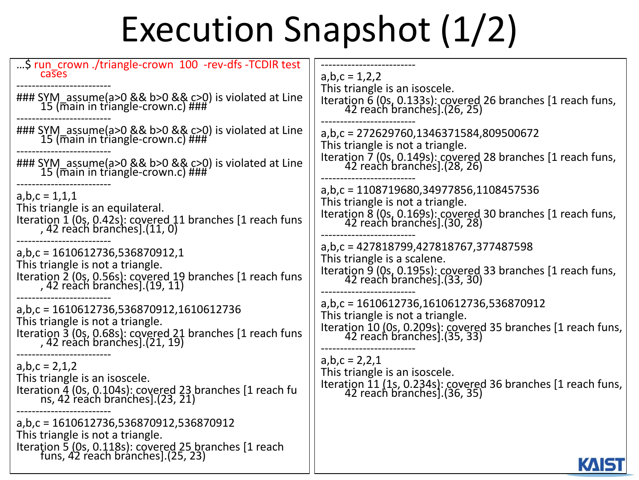### Execution Snapshot (1/2)

| \$ run_crown ./triangle-crown_100_-rev-dfs -TCDIR test                                                                                                                                   | $a,b,c = 1,2,2$                                                                                                                                                           |
|------------------------------------------------------------------------------------------------------------------------------------------------------------------------------------------|---------------------------------------------------------------------------------------------------------------------------------------------------------------------------|
| cases                                                                                                                                                                                    | This triangle is an isoscele.                                                                                                                                             |
| ### SYM_assume(a>0 && b>0 && c>0) is violated at Line<br>15 (main in triangle-crown.c) ###                                                                                               | Iteration 6 (0s, 0.133s): covered 26 branches [1 reach funs,<br>42 reach branches].(26, 25)                                                                               |
| ### SYM_assume(a>0 && b>0 && c>0) is violated at Line<br>15 (main in triangle-crown.c) ###<br>### SYM_assume(a>0 && b>0 && c>0) is violated at Line<br>15 (main in triangle-crown.c) ### | a,b,c = 272629760,1346371584,809500672<br>This triangle is not a triangle.<br>Iteration 7 (0s, 0.149s): covered 28 branches [1 reach funs,<br>42 reach branches].(28, 26) |
| $a,b,c = 1,1,1$                                                                                                                                                                          | a,b,c = 1108719680,34977856,1108457536                                                                                                                                    |
| This triangle is an equilateral.                                                                                                                                                         | This triangle is not a triangle.                                                                                                                                          |
| Iteration 1 (0s, 0.42s): covered 11 branches [1 reach funs,<br>, 42 reach branches].(11, 0)                                                                                              | Iteration 8 (0s, 0.169s): covered 30 branches [1 reach funs,<br>42 reach branches]. (30, 28)                                                                              |
| $a,b,c = 1610612736,536870912,1$                                                                                                                                                         | a,b,c = 427818799,427818767,377487598                                                                                                                                     |
| This triangle is not a triangle.                                                                                                                                                         | This triangle is a scalene.                                                                                                                                               |
| Iteration 2 (0s, 0.56s): covered 19 branches [1 reach funs,<br>, 42 reach branches].(19, 11)                                                                                             | Iteration 9 (0s, 0.195s): covered 33 branches [1 reach funs,<br>42 reach branches]. (33, 30)                                                                              |
| a,b,c = 1610612736,536870912,1610612736                                                                                                                                                  | a,b,c = 1610612736,1610612736,536870912                                                                                                                                   |
| This triangle is not a triangle.                                                                                                                                                         | This triangle is not a triangle.                                                                                                                                          |
| Iteration 3 (0s, 0.68s): covered 21 branches [1 reach funs,<br>, 42 reach branches].(21, 19)                                                                                             | Iteration 10 (0s, 0.209s): covered 35 branches [1 reach funs,<br>42 reach branches].(35, 33)                                                                              |
| $a,b,c = 2,1,2$                                                                                                                                                                          | $a,b,c = 2,2,1$                                                                                                                                                           |
| This triangle is an isoscele.                                                                                                                                                            | This triangle is an isoscele.                                                                                                                                             |
| Iteration 4 (0s, 0.104s): covered 23 branches [1 reach fu ns, 42 reach branches].(23, 21)                                                                                                | Iteration 11 (1s, 0.234s): covered 36 branches [1 reach funs,<br>42 reach branches].(36, 35)                                                                              |
| a,b,c = 1610612736,536870912,536870912<br>This triangle is not a triangle.<br>Iteration 5 (0s, 0.118s): covered 25 branches [1 reach<br>funs, 42 reach branches].(25, 23)                |                                                                                                                                                                           |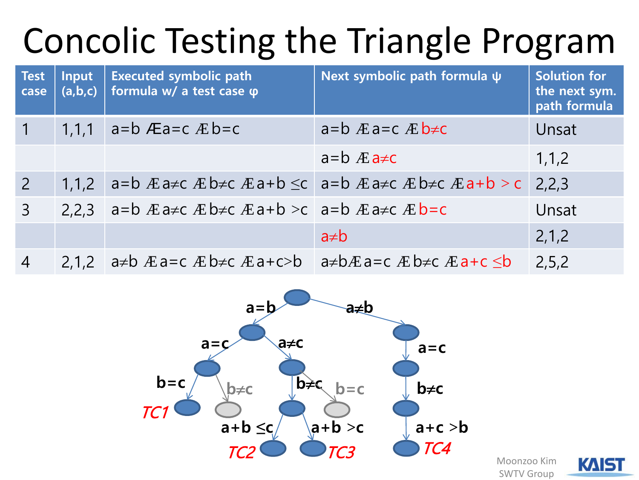### Concolic Testing the Triangle Program

| <b>Test</b><br>case | Input<br>(a,b,c) | <b>Executed symbolic path</b><br>formula w/ a test case φ                    | Next symbolic path formula $\psi$                                                                                              | <b>Solution for</b><br>the next sym.<br>path formula |
|---------------------|------------------|------------------------------------------------------------------------------|--------------------------------------------------------------------------------------------------------------------------------|------------------------------------------------------|
| $\mathbf 1$         | 1,1,1            | a=b $E$ a=c $E$ b=c                                                          | $a=b$ $E$ $a=c$ $E$ $b \neq c$                                                                                                 | Unsat                                                |
|                     |                  |                                                                              | $a = b$ $E$ $a \neq c$                                                                                                         | 1, 1, 2                                              |
| $\overline{2}$      | 1,1,2            |                                                                              | $a=b \n\mathbb{E}$ a≠c $\mathbb{E}$ b≠c $\mathbb{E}$ a+b $\leq c$ a=b $\mathbb{E}$ a≠c $\mathbb{E}$ b≠c $\mathbb{E}$ a+b $> c$ | 2,2,3                                                |
| $\overline{3}$      | 2,2,3            | a=b $E$ a $\neq$ c $E$ b $\neq$ c $E$ a+b $>$ c   a=b $E$ a $\neq$ c $E$ b=c |                                                                                                                                | Unsat                                                |
|                     |                  |                                                                              | $a \neq b$                                                                                                                     | 2,1,2                                                |
| $\overline{4}$      | 2,1,2            | a≠b $E$ a=c $E$ b≠c $E$ a+c>b   a≠b $E$ a=c $E$ b≠c $E$ a+c $\leq$ b         |                                                                                                                                | 2, 5, 2                                              |



Moonzoo Kim SWTV Group

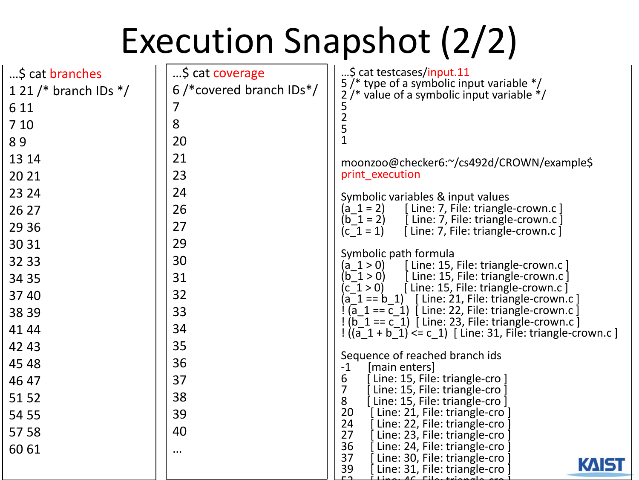### Execution Snapshot (2/2)

| \$ cat branches         | \$ cat coverage            | \$ cat testcases/input.11<br>5/* type of a symbolic input variable */                                                                                                      |
|-------------------------|----------------------------|----------------------------------------------------------------------------------------------------------------------------------------------------------------------------|
| 1 21 /* branch IDs $*/$ | $6$ /*covered branch IDs*/ | $2$ /* value of a symbolic input variable $*/$                                                                                                                             |
| 6 1 1                   | 7                          |                                                                                                                                                                            |
| 7 10                    | 8                          | 5<br>2<br>5                                                                                                                                                                |
| 89                      | 20                         | $\mathbf{1}$                                                                                                                                                               |
| 13 14                   | 21                         | moonzoo@checker6:~/cs492d/CROWN/example\$                                                                                                                                  |
| 20 21                   | 23                         | print execution                                                                                                                                                            |
| 23 24                   | 24                         | Symbolic variables & input values                                                                                                                                          |
| 26 27                   | 26                         | [ Line: 7, File: triangle-crown.c]<br>$(a 1 = 2)$                                                                                                                          |
| 29 36                   | 27                         | [ Line: 7, File: triangle-crown.c ]<br>$(b_1 = 2)$<br>[Line: 7, File: triangle-crown.c]<br>$(c 1 = 1)$                                                                     |
| 30 31                   | 29                         |                                                                                                                                                                            |
| 32 33                   | 30                         | Symbolic path formula<br>[ Line: 15, File: triangle-crown.c]<br>(a 1 > 0)                                                                                                  |
| 34 35                   | 31                         | $(b \ 1 > 0)$<br>[Line: 15, File: triangle-crown.c]                                                                                                                        |
| 37 40                   | 32                         | [Line: 15, File: triangle-crown.c]<br>(c 1 > 0)                                                                                                                            |
| 38 39                   | 33                         | $\overline{a}_1 = \overline{c}_1$ ) [ Line: 22, File: triangle-crown.c                                                                                                     |
| 41 44                   | 34                         | $\left(\overline{b}^{\text{-}}1 == c^{\text{-}}1\right)$ [ Line: 23, File: triangle-crown.c ]<br>$\frac{1}{1}$ ((a $1 + b$ 1) <= c 1) [ Line: 31, File: triangle-crown.c ] |
| 42 43                   | 35                         |                                                                                                                                                                            |
| 45 48                   | 36                         | Sequence of reached branch ids<br>$-1$<br>[main enters]                                                                                                                    |
| 46 47                   | 37                         | 6<br>Line: 15, File: triangle-cro ]<br>7                                                                                                                                   |
| 51 52                   | 38                         | Line: 15, File: triangle-cro ]<br>8<br>[Line: 15, File: triangle-cro]                                                                                                      |
| 54 55                   | 39                         | 20<br>Line: 21, File: triangle-cro                                                                                                                                         |
| 57 58                   | 40                         | 24<br>Line: 22, File: triangle-cro<br>27<br>Line: 23, File: triangle-cro                                                                                                   |
| 60 61                   | $\cdots$                   | 36<br>Line: 24, File: triangle-cro                                                                                                                                         |
|                         |                            | 37<br>Line: 30, File: triangle-cro<br><b>KAISI</b><br>39<br>Line: 31, File: triangle-cro                                                                                   |
|                         |                            |                                                                                                                                                                            |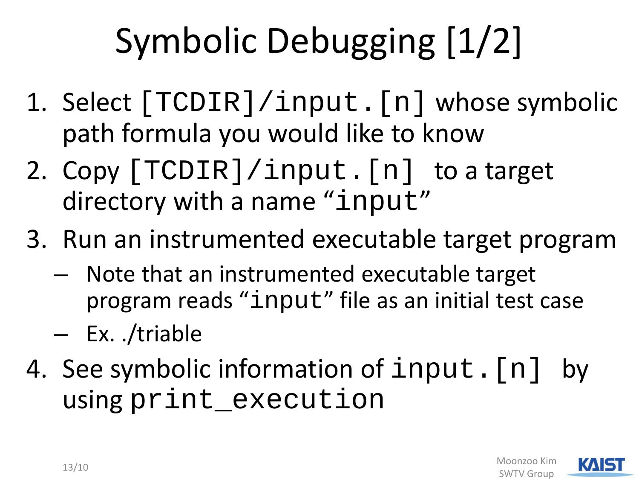## Symbolic Debugging [1/2]

- 1. Select [TCDIR]/input.[n] whose symbolic path formula you would like to know
- 2. Copy [TCDIR]/input.[n] to a target directory with a name "input"
- 3. Run an instrumented executable target program
	- Note that an instrumented executable target program reads "input" file as an initial test case
	- Ex. ./triable
- 4. See symbolic information of input. [n] by using print\_execution

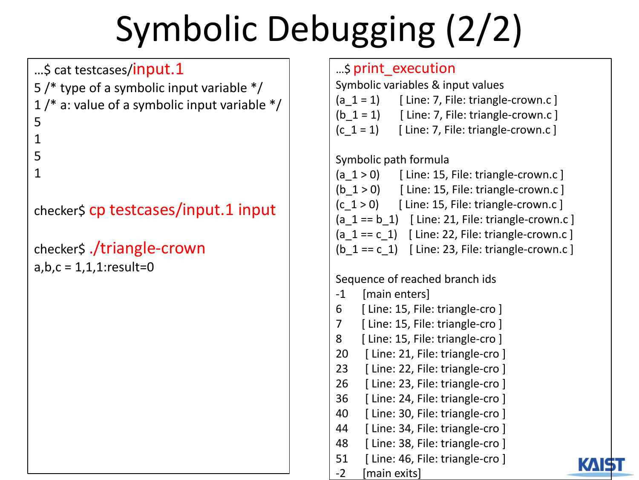## Symbolic Debugging (2/2)

#### ...\$ cat testcases/input.1

- 5 /\* type of a symbolic input variable \*/
- $1$  /\* a: value of a symbolic input variable  $*/$

#### 5

1

- 5
- 

#### 1

checker\$ cp testcases/input.1 input

#### checker\$ ./triangle-crown  $a,b,c = 1,1,1:$ result=0

#### …\$ print\_execution

Symbolic variables & input values

- (a\_1 = 1)  $\left[$  Line: 7, File: triangle-crown.c  $\right]$
- (b  $1 = 1$ ) [ Line: 7, File: triangle-crown.c ]
- $(c_1 = 1)$  [ Line: 7, File: triangle-crown.c ]

#### Symbolic path formula

- (a  $1 > 0$ ) [ Line: 15, File: triangle-crown.c ]
- (b  $1 > 0$ ) [ Line: 15, File: triangle-crown.c ]
- $(c_1 > 0)$  [ Line: 15, File: triangle-crown.c ]
- (a\_1 == b\_1)  $[$  Line: 21, File: triangle-crown.c  $]$
- (a\_1 == c\_1)  $\int$  Line: 22, File: triangle-crown.c ]
- (b  $1 == c$  1) [ Line: 23, File: triangle-crown.c ]

#### Sequence of reached branch ids

- -1 [main enters]
- 6 [ Line: 15, File: triangle-cro ]
- 7 [ Line: 15, File: triangle-cro ]
- 8 [ Line: 15, File: triangle-cro ]
- 20 [ Line: 21, File: triangle-cro ]
- 23 [ Line: 22, File: triangle-cro ]
- 26 [ Line: 23, File: triangle-cro ]
- 36 [ Line: 24, File: triangle-cro ]
- 40 [ Line: 30, File: triangle-cro ]
- 44 [ Line: 34, File: triangle-cro ]
- 48 [ Line: 38, File: triangle-cro ]
- 51 [ Line: 46, File: triangle-cro ]

-2 [main exits]

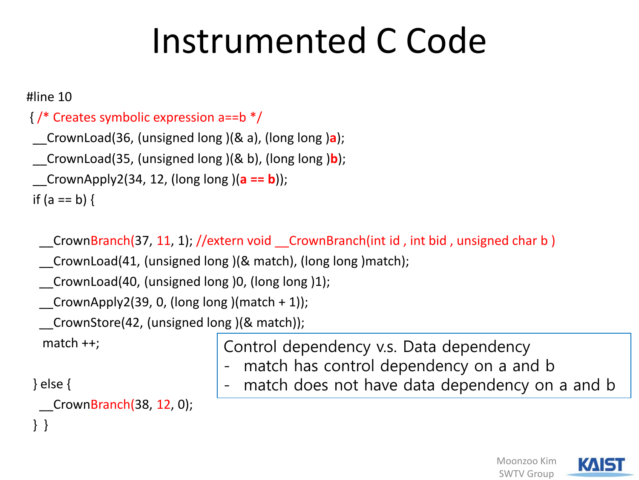#### Instrumented C Code

#line 10

```
{ /* Creates symbolic expression a==b */
__CrownLoad(36, (unsigned long )(& a), (long long )a);
__CrownLoad(35, (unsigned long )(& b), (long long )b);
__CrownApply2(34, 12, (long long )(a == b));
if (a == b) {
```
CrownBranch(37, 11, 1); //extern void CrownBranch(int id, int bid, unsigned char b)

\_\_CrownLoad(41, (unsigned long )(& match), (long long )match);

CrownLoad(40, (unsigned long )0, (long long )1);

CrownApply2(39, 0, (long long )(match + 1));

\_\_CrownStore(42, (unsigned long )(& match));

match ++;

} else {

} }

CrownBranch(38, 12, 0);

Control dependency v.s. Data dependency

- match has control dependency on a and b
- match does not have data dependency on a and b

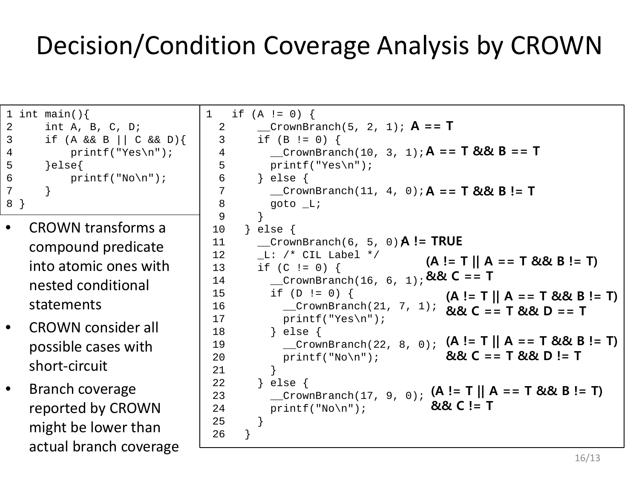#### Decision/Condition Coverage Analysis by CROWN

```
1 int main(){
2 int A, B, C, D;
3 if (A && B || C && D){
4 printf("Yes\n");
5 }else{
6 print(f("No\n");
7 }
8 }
```
- CROWN transforms a compound predicate into atomic ones with nested conditional statements
- CROWN consider all possible cases with short-circuit
- Branch coverage reported by CROWN might be lower than actual branch coverage

```
1 \quad \text{if} \quad (A := 0)2 __CrownBranch(5, 2, 1);
A == T
   3 if (B != 0) {
   4 __CrownBranch(10, 3, 1);
A == T && B == T
   5 printf("Yes\n");<br>6 } else {
          6 } else {
   7 __CrownBranch(11, 4, 0);
A == T && B != T
   8 goto L;
 \begin{array}{ccc} 9 & & \\ 10 & & \end{array}} else \{11 __CrownBranch(6, 5, 0);
A != TRUE
 12 L: /* CIL Label */
 13 if (C != 0) {
 14 \frac{1}{2} CrownBranch(16, 6, 1); && C == T
 15 if (D != 0) {
 16 __CrownBranch(21, 7, 1);
&& C == T && D == T
 17 printf("Yes\n");
 18 } else {
 19 __CrownBranch(22, 8, 0);
(A != T || A == T && B != T) 
 20 printf("No\n");
 21 }
 22 } else {
 23 \begin{bmatrix} 22 & 3 \end{bmatrix} \begin{bmatrix} 225 & 6 \end{bmatrix} \begin{bmatrix} 23 & 2 \end{bmatrix} \begin{bmatrix} 29 & 6 \end{bmatrix} \begin{bmatrix} 4 & 8 \end{bmatrix} \begin{bmatrix} 4 & 5 \end{bmatrix} \begin{bmatrix} 4 & 5 \end{bmatrix} \begin{bmatrix} 4 & 5 \end{bmatrix} \begin{bmatrix} 4 & 5 \end{bmatrix} \begin{bmatrix} 4 & 5 \end{bmatrix} \begin{bmatrix} 4 & 5 \24 printf("No\n");
 25 }
 26(A != T || A == T && B != T) 
                                                   (A != T || A == T && B != T) 
                                                   && C == T && D != T
                                                && C != T
```